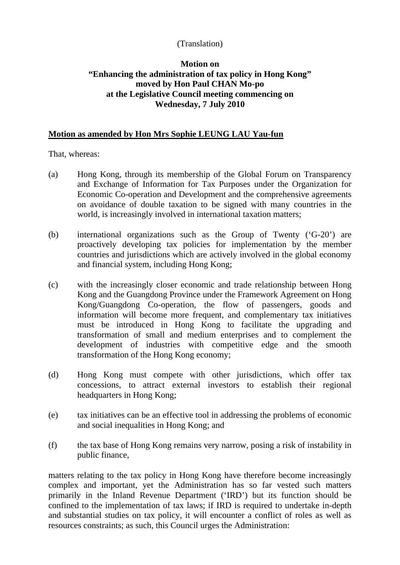## (Translation)

## **Motion on "Enhancing the administration of tax policy in Hong Kong" moved by Hon Paul CHAN Mo-po at the Legislative Council meeting commencing on Wednesday, 7 July 2010**

## **Motion as amended by Hon Mrs Sophie LEUNG LAU Yau-fun**

That, whereas:

- (a) Hong Kong, through its membership of the Global Forum on Transparency and Exchange of Information for Tax Purposes under the Organization for Economic Co-operation and Development and the comprehensive agreements on avoidance of double taxation to be signed with many countries in the world, is increasingly involved in international taxation matters;
- (b) international organizations such as the Group of Twenty ('G-20') are proactively developing tax policies for implementation by the member countries and jurisdictions which are actively involved in the global economy and financial system, including Hong Kong;
- (c) with the increasingly closer economic and trade relationship between Hong Kong and the Guangdong Province under the Framework Agreement on Hong Kong/Guangdong Co-operation, the flow of passengers, goods and information will become more frequent, and complementary tax initiatives must be introduced in Hong Kong to facilitate the upgrading and transformation of small and medium enterprises and to complement the development of industries with competitive edge and the smooth transformation of the Hong Kong economy;
- (d) Hong Kong must compete with other jurisdictions, which offer tax concessions, to attract external investors to establish their regional headquarters in Hong Kong;
- (e) tax initiatives can be an effective tool in addressing the problems of economic and social inequalities in Hong Kong; and
- (f) the tax base of Hong Kong remains very narrow, posing a risk of instability in public finance,

matters relating to the tax policy in Hong Kong have therefore become increasingly complex and important, yet the Administration has so far vested such matters primarily in the Inland Revenue Department ('IRD') but its function should be confined to the implementation of tax laws; if IRD is required to undertake in-depth and substantial studies on tax policy, it will encounter a conflict of roles as well as resources constraints; as such, this Council urges the Administration: